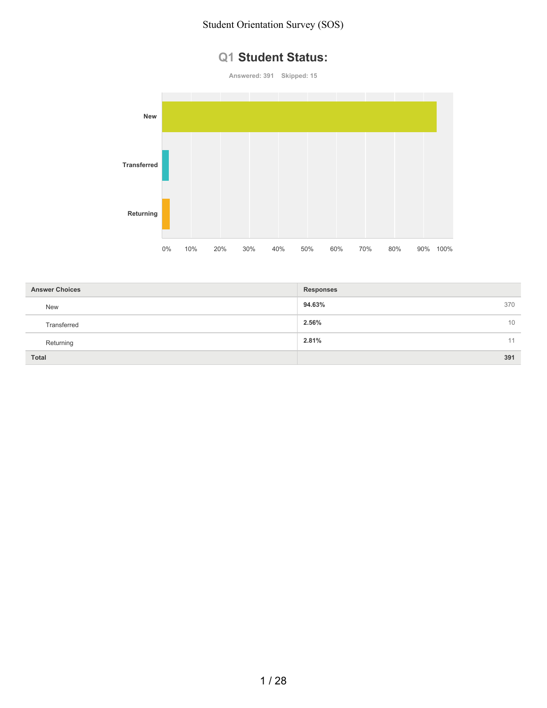## **Q1 Student Status:**

**Answered: 391 Skipped: 15**



| <b>Answer Choices</b> | <b>Responses</b> |
|-----------------------|------------------|
| <b>New</b>            | 94.63%<br>370    |
| Transferred           | 2.56%<br>10      |
| Returning             | 2.81%<br>11      |
| <b>Total</b>          | 391              |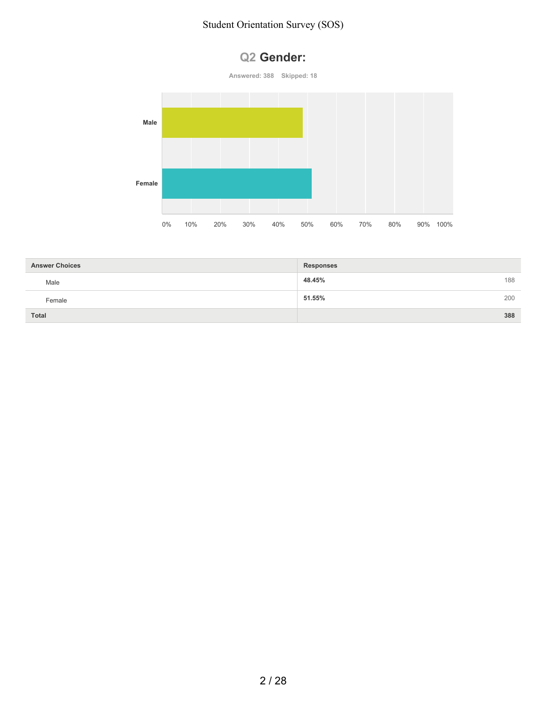# **Q2 Gender:**





| <b>Answer Choices</b> | <b>Responses</b> |     |
|-----------------------|------------------|-----|
| Male                  | 48.45%           | 188 |
| Female                | 51.55%           | 200 |
| Total                 |                  | 388 |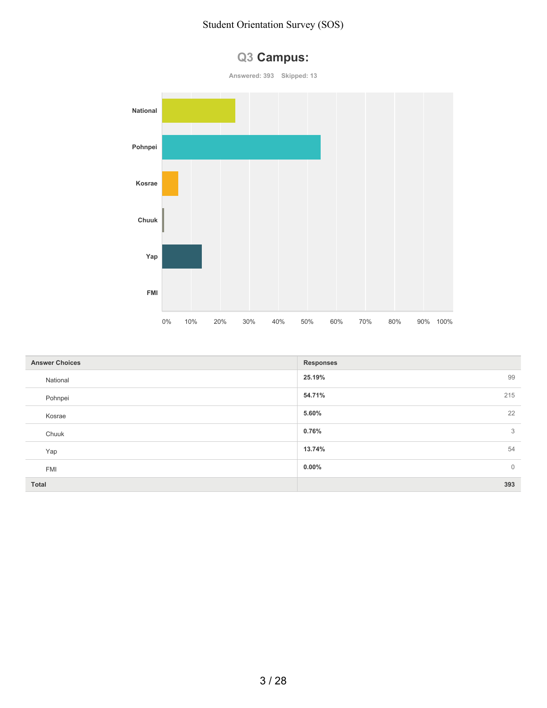

| <b>Answer Choices</b> | <b>Responses</b>           |
|-----------------------|----------------------------|
| National              | 25.19%<br>99               |
| Pohnpei               | 215<br>54.71%              |
| Kosrae                | 22<br>5.60%                |
| Chuuk                 | $\mathcal{S}$<br>0.76%     |
| Yap                   | 54<br>13.74%               |
| <b>FMI</b>            | $\overline{0}$<br>$0.00\%$ |
| Total                 | 393                        |

# **Q3 Campus:**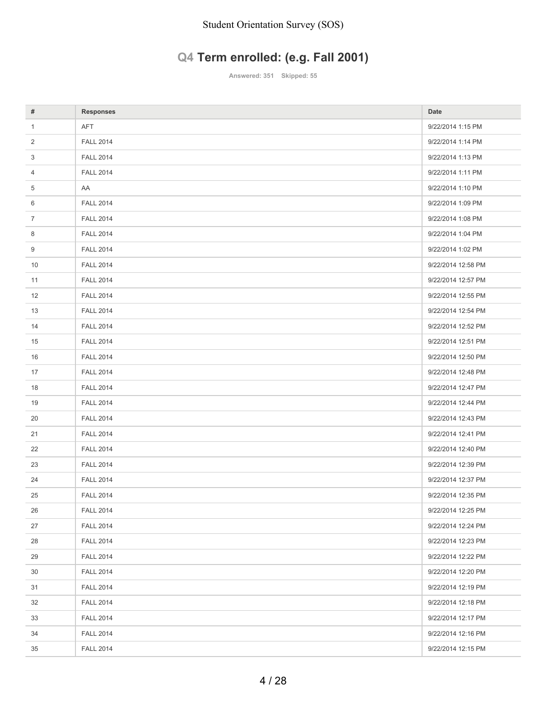# **Q4 Term enrolled: (e.g. Fall 2001)**

**Answered: 351 Skipped: 55**

| #              | <b>Responses</b> | Date               |
|----------------|------------------|--------------------|
| $\mathbf{1}$   | <b>AFT</b>       | 9/22/2014 1:15 PM  |
| 2              | <b>FALL 2014</b> | 9/22/2014 1:14 PM  |
| 3              | <b>FALL 2014</b> | 9/22/2014 1:13 PM  |
| 4              | <b>FALL 2014</b> | 9/22/2014 1:11 PM  |
| 5              | AA               | 9/22/2014 1:10 PM  |
| 6              | <b>FALL 2014</b> | 9/22/2014 1:09 PM  |
| $\overline{7}$ | <b>FALL 2014</b> | 9/22/2014 1:08 PM  |
| 8              | <b>FALL 2014</b> | 9/22/2014 1:04 PM  |
| 9              | <b>FALL 2014</b> | 9/22/2014 1:02 PM  |
| 10             | <b>FALL 2014</b> | 9/22/2014 12:58 PM |
| 11             | <b>FALL 2014</b> | 9/22/2014 12:57 PM |
| 12             | <b>FALL 2014</b> | 9/22/2014 12:55 PM |
| 13             | <b>FALL 2014</b> | 9/22/2014 12:54 PM |
| 14             | <b>FALL 2014</b> | 9/22/2014 12:52 PM |
| 15             | <b>FALL 2014</b> | 9/22/2014 12:51 PM |
| 16             | <b>FALL 2014</b> | 9/22/2014 12:50 PM |
| 17             | <b>FALL 2014</b> | 9/22/2014 12:48 PM |
| 18             | <b>FALL 2014</b> | 9/22/2014 12:47 PM |
| 19             | <b>FALL 2014</b> | 9/22/2014 12:44 PM |
| 20             | <b>FALL 2014</b> | 9/22/2014 12:43 PM |
| 21             | <b>FALL 2014</b> | 9/22/2014 12:41 PM |
| 22             | <b>FALL 2014</b> | 9/22/2014 12:40 PM |
| 23             | <b>FALL 2014</b> | 9/22/2014 12:39 PM |
| 24             | <b>FALL 2014</b> | 9/22/2014 12:37 PM |
| 25             | <b>FALL 2014</b> | 9/22/2014 12:35 PM |
| 26             | <b>FALL 2014</b> | 9/22/2014 12:25 PM |
| 27             | <b>FALL 2014</b> | 9/22/2014 12:24 PM |
| 28             | <b>FALL 2014</b> | 9/22/2014 12:23 PM |
| 29             | <b>FALL 2014</b> | 9/22/2014 12:22 PM |
| 30             | <b>FALL 2014</b> | 9/22/2014 12:20 PM |
| 31             | <b>FALL 2014</b> | 9/22/2014 12:19 PM |
| 32             | <b>FALL 2014</b> | 9/22/2014 12:18 PM |
| 33             | <b>FALL 2014</b> | 9/22/2014 12:17 PM |
| 34             | <b>FALL 2014</b> | 9/22/2014 12:16 PM |
| 35             | <b>FALL 2014</b> | 9/22/2014 12:15 PM |
|                |                  |                    |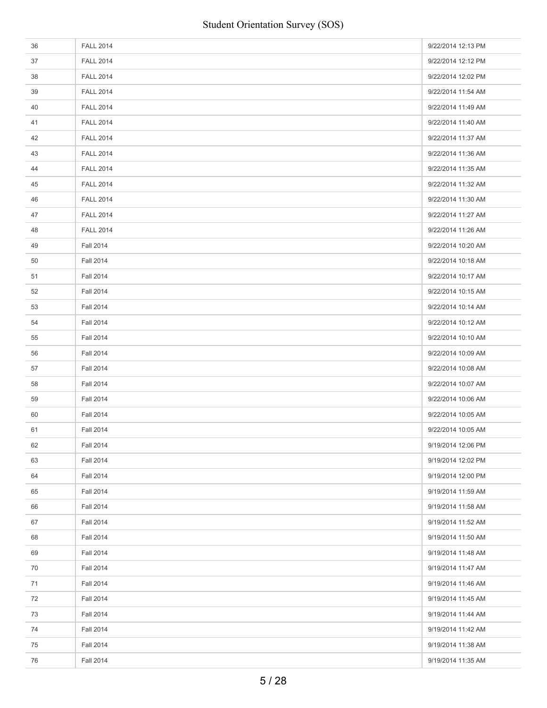| 36 | <b>FALL 2014</b> | 9/22/2014 12:13 PM |
|----|------------------|--------------------|
| 37 | <b>FALL 2014</b> | 9/22/2014 12:12 PM |
| 38 | <b>FALL 2014</b> | 9/22/2014 12:02 PM |
| 39 | <b>FALL 2014</b> | 9/22/2014 11:54 AM |
| 40 | <b>FALL 2014</b> | 9/22/2014 11:49 AM |
| 41 | <b>FALL 2014</b> | 9/22/2014 11:40 AM |
| 42 | <b>FALL 2014</b> | 9/22/2014 11:37 AM |
| 43 | <b>FALL 2014</b> | 9/22/2014 11:36 AM |
| 44 | <b>FALL 2014</b> | 9/22/2014 11:35 AM |
| 45 | <b>FALL 2014</b> | 9/22/2014 11:32 AM |
| 46 | <b>FALL 2014</b> | 9/22/2014 11:30 AM |
| 47 | <b>FALL 2014</b> | 9/22/2014 11:27 AM |
| 48 | <b>FALL 2014</b> | 9/22/2014 11:26 AM |
| 49 | <b>Fall 2014</b> | 9/22/2014 10:20 AM |
| 50 | <b>Fall 2014</b> | 9/22/2014 10:18 AM |
| 51 | <b>Fall 2014</b> | 9/22/2014 10:17 AM |
| 52 | <b>Fall 2014</b> | 9/22/2014 10:15 AM |
| 53 | <b>Fall 2014</b> | 9/22/2014 10:14 AM |
| 54 | <b>Fall 2014</b> | 9/22/2014 10:12 AM |
| 55 | <b>Fall 2014</b> | 9/22/2014 10:10 AM |
| 56 | <b>Fall 2014</b> | 9/22/2014 10:09 AM |
| 57 | <b>Fall 2014</b> | 9/22/2014 10:08 AM |
| 58 | <b>Fall 2014</b> | 9/22/2014 10:07 AM |
| 59 | <b>Fall 2014</b> | 9/22/2014 10:06 AM |
| 60 | <b>Fall 2014</b> | 9/22/2014 10:05 AM |
| 61 | <b>Fall 2014</b> | 9/22/2014 10:05 AM |
| 62 | <b>Fall 2014</b> | 9/19/2014 12:06 PM |
| 63 | <b>Fall 2014</b> | 9/19/2014 12:02 PM |
| 64 | <b>Fall 2014</b> | 9/19/2014 12:00 PM |
| 65 | <b>Fall 2014</b> | 9/19/2014 11:59 AM |
| 66 | <b>Fall 2014</b> | 9/19/2014 11:58 AM |
| 67 | <b>Fall 2014</b> | 9/19/2014 11:52 AM |
| 68 | <b>Fall 2014</b> | 9/19/2014 11:50 AM |
| 69 | <b>Fall 2014</b> | 9/19/2014 11:48 AM |
| 70 | <b>Fall 2014</b> | 9/19/2014 11:47 AM |
| 71 | <b>Fall 2014</b> | 9/19/2014 11:46 AM |
| 72 | <b>Fall 2014</b> | 9/19/2014 11:45 AM |
| 73 | <b>Fall 2014</b> | 9/19/2014 11:44 AM |
| 74 | <b>Fall 2014</b> | 9/19/2014 11:42 AM |
| 75 | <b>Fall 2014</b> | 9/19/2014 11:38 AM |
| 76 | <b>Fall 2014</b> | 9/19/2014 11:35 AM |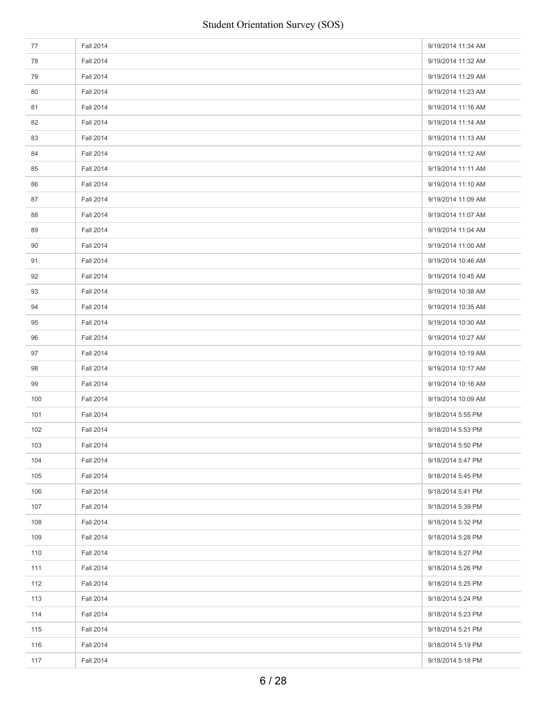| 77  | <b>Fall 2014</b> | 9/19/2014 11:34 AM |
|-----|------------------|--------------------|
| 78  | <b>Fall 2014</b> | 9/19/2014 11:32 AM |
| 79  | <b>Fall 2014</b> | 9/19/2014 11:29 AM |
| 80  | <b>Fall 2014</b> | 9/19/2014 11:23 AM |
| 81  | <b>Fall 2014</b> | 9/19/2014 11:16 AM |
| 82  | <b>Fall 2014</b> | 9/19/2014 11:14 AM |
| 83  | <b>Fall 2014</b> | 9/19/2014 11:13 AM |
| 84  | <b>Fall 2014</b> | 9/19/2014 11:12 AM |
| 85  | <b>Fall 2014</b> | 9/19/2014 11:11 AM |
| 86  | <b>Fall 2014</b> | 9/19/2014 11:10 AM |
| 87  | <b>Fall 2014</b> | 9/19/2014 11:09 AM |
| 88  | <b>Fall 2014</b> | 9/19/2014 11:07 AM |
| 89  | <b>Fall 2014</b> | 9/19/2014 11:04 AM |
| 90  | <b>Fall 2014</b> | 9/19/2014 11:00 AM |
| 91  | <b>Fall 2014</b> | 9/19/2014 10:46 AM |
| 92  | <b>Fall 2014</b> | 9/19/2014 10:45 AM |
| 93  | <b>Fall 2014</b> | 9/19/2014 10:38 AM |
| 94  | <b>Fall 2014</b> | 9/19/2014 10:35 AM |
| 95  | <b>Fall 2014</b> | 9/19/2014 10:30 AM |
| 96  | <b>Fall 2014</b> | 9/19/2014 10:27 AM |
| 97  | <b>Fall 2014</b> | 9/19/2014 10:19 AM |
| 98  | <b>Fall 2014</b> | 9/19/2014 10:17 AM |
| 99  | <b>Fall 2014</b> | 9/19/2014 10:16 AM |
| 100 | <b>Fall 2014</b> | 9/19/2014 10:09 AM |
| 101 | <b>Fall 2014</b> | 9/18/2014 5:55 PM  |
| 102 | <b>Fall 2014</b> | 9/18/2014 5:53 PM  |
| 103 | <b>Fall 2014</b> | 9/18/2014 5:50 PM  |
| 104 | <b>Fall 2014</b> | 9/18/2014 5:47 PM  |
| 105 | <b>Fall 2014</b> | 9/18/2014 5:45 PM  |
| 106 | <b>Fall 2014</b> | 9/18/2014 5:41 PM  |
| 107 | <b>Fall 2014</b> | 9/18/2014 5:39 PM  |
| 108 | <b>Fall 2014</b> | 9/18/2014 5:32 PM  |
| 109 | <b>Fall 2014</b> | 9/18/2014 5:28 PM  |
| 110 | <b>Fall 2014</b> | 9/18/2014 5:27 PM  |
| 111 | <b>Fall 2014</b> | 9/18/2014 5:26 PM  |
| 112 | <b>Fall 2014</b> | 9/18/2014 5:25 PM  |
| 113 | <b>Fall 2014</b> | 9/18/2014 5:24 PM  |
| 114 | <b>Fall 2014</b> | 9/18/2014 5:23 PM  |
| 115 | <b>Fall 2014</b> | 9/18/2014 5:21 PM  |
| 116 | <b>Fall 2014</b> | 9/18/2014 5:19 PM  |
| 117 | <b>Fall 2014</b> | 9/18/2014 5:18 PM  |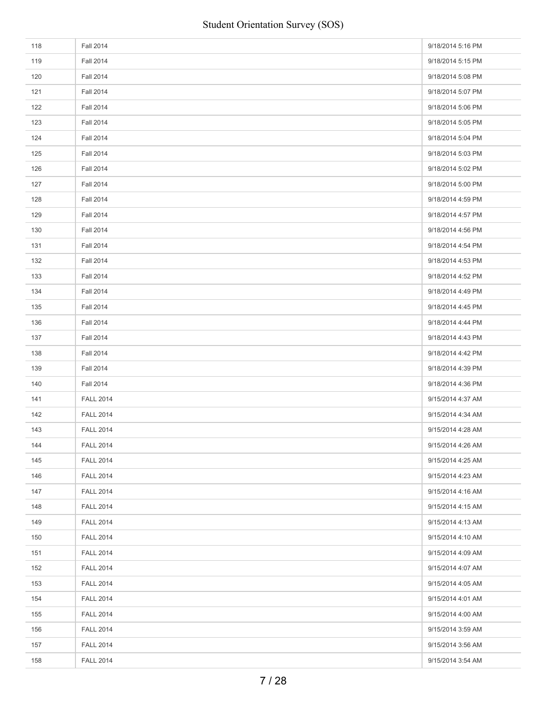| 118 | <b>Fall 2014</b> | 9/18/2014 5:16 PM |
|-----|------------------|-------------------|
| 119 | <b>Fall 2014</b> | 9/18/2014 5:15 PM |
| 120 | <b>Fall 2014</b> | 9/18/2014 5:08 PM |
| 121 | <b>Fall 2014</b> | 9/18/2014 5:07 PM |
| 122 | <b>Fall 2014</b> | 9/18/2014 5:06 PM |
| 123 | <b>Fall 2014</b> | 9/18/2014 5:05 PM |
| 124 | <b>Fall 2014</b> | 9/18/2014 5:04 PM |
| 125 | <b>Fall 2014</b> | 9/18/2014 5:03 PM |
| 126 | <b>Fall 2014</b> | 9/18/2014 5:02 PM |
| 127 | <b>Fall 2014</b> | 9/18/2014 5:00 PM |
| 128 | <b>Fall 2014</b> | 9/18/2014 4:59 PM |
| 129 | <b>Fall 2014</b> | 9/18/2014 4:57 PM |
| 130 | <b>Fall 2014</b> | 9/18/2014 4:56 PM |
| 131 | <b>Fall 2014</b> | 9/18/2014 4:54 PM |
| 132 | <b>Fall 2014</b> | 9/18/2014 4:53 PM |
| 133 | <b>Fall 2014</b> | 9/18/2014 4:52 PM |
| 134 | <b>Fall 2014</b> | 9/18/2014 4:49 PM |
| 135 | <b>Fall 2014</b> | 9/18/2014 4:45 PM |
| 136 | <b>Fall 2014</b> | 9/18/2014 4:44 PM |
| 137 | <b>Fall 2014</b> | 9/18/2014 4:43 PM |
| 138 | <b>Fall 2014</b> | 9/18/2014 4:42 PM |
| 139 | <b>Fall 2014</b> | 9/18/2014 4:39 PM |
| 140 | <b>Fall 2014</b> | 9/18/2014 4:36 PM |
| 141 | <b>FALL 2014</b> | 9/15/2014 4:37 AM |
| 142 | <b>FALL 2014</b> | 9/15/2014 4:34 AM |
| 143 | <b>FALL 2014</b> | 9/15/2014 4:28 AM |
| 144 | <b>FALL 2014</b> | 9/15/2014 4:26 AM |
| 145 | <b>FALL 2014</b> | 9/15/2014 4:25 AM |
| 146 | <b>FALL 2014</b> | 9/15/2014 4:23 AM |
| 147 | <b>FALL 2014</b> | 9/15/2014 4:16 AM |
| 148 | <b>FALL 2014</b> | 9/15/2014 4:15 AM |
| 149 | <b>FALL 2014</b> | 9/15/2014 4:13 AM |
| 150 | <b>FALL 2014</b> | 9/15/2014 4:10 AM |
| 151 | <b>FALL 2014</b> | 9/15/2014 4:09 AM |
| 152 | <b>FALL 2014</b> | 9/15/2014 4:07 AM |
| 153 | <b>FALL 2014</b> | 9/15/2014 4:05 AM |
| 154 | <b>FALL 2014</b> | 9/15/2014 4:01 AM |
| 155 | <b>FALL 2014</b> | 9/15/2014 4:00 AM |
| 156 | <b>FALL 2014</b> | 9/15/2014 3:59 AM |
| 157 | <b>FALL 2014</b> | 9/15/2014 3:56 AM |
| 158 | <b>FALL 2014</b> | 9/15/2014 3:54 AM |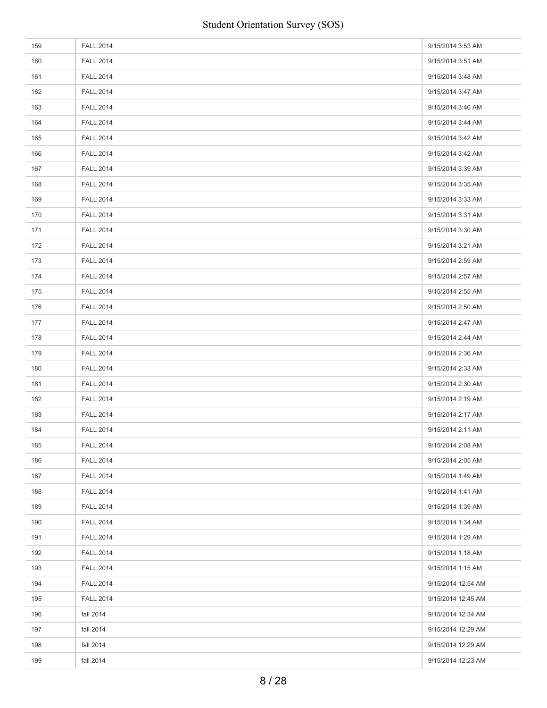| 159 | <b>FALL 2014</b> | 9/15/2014 3:53 AM  |
|-----|------------------|--------------------|
| 160 | <b>FALL 2014</b> | 9/15/2014 3:51 AM  |
| 161 | <b>FALL 2014</b> | 9/15/2014 3:48 AM  |
| 162 | <b>FALL 2014</b> | 9/15/2014 3:47 AM  |
| 163 | <b>FALL 2014</b> | 9/15/2014 3:46 AM  |
| 164 | <b>FALL 2014</b> | 9/15/2014 3:44 AM  |
| 165 | <b>FALL 2014</b> | 9/15/2014 3:42 AM  |
| 166 | <b>FALL 2014</b> | 9/15/2014 3:42 AM  |
| 167 | <b>FALL 2014</b> | 9/15/2014 3:39 AM  |
| 168 | <b>FALL 2014</b> | 9/15/2014 3:35 AM  |
| 169 | <b>FALL 2014</b> | 9/15/2014 3:33 AM  |
| 170 | <b>FALL 2014</b> | 9/15/2014 3:31 AM  |
| 171 | <b>FALL 2014</b> | 9/15/2014 3:30 AM  |
| 172 | <b>FALL 2014</b> | 9/15/2014 3:21 AM  |
| 173 | <b>FALL 2014</b> | 9/15/2014 2:59 AM  |
| 174 | <b>FALL 2014</b> | 9/15/2014 2:57 AM  |
| 175 | <b>FALL 2014</b> | 9/15/2014 2:55 AM  |
| 176 | <b>FALL 2014</b> | 9/15/2014 2:50 AM  |
| 177 | <b>FALL 2014</b> | 9/15/2014 2:47 AM  |
| 178 | <b>FALL 2014</b> | 9/15/2014 2:44 AM  |
| 179 | <b>FALL 2014</b> | 9/15/2014 2:36 AM  |
| 180 | <b>FALL 2014</b> | 9/15/2014 2:33 AM  |
| 181 | <b>FALL 2014</b> | 9/15/2014 2:30 AM  |
| 182 | <b>FALL 2014</b> | 9/15/2014 2:19 AM  |
| 183 | <b>FALL 2014</b> | 9/15/2014 2:17 AM  |
| 184 | <b>FALL 2014</b> | 9/15/2014 2:11 AM  |
| 185 | <b>FALL 2014</b> | 9/15/2014 2:08 AM  |
| 186 | <b>FALL 2014</b> | 9/15/2014 2:05 AM  |
| 187 | <b>FALL 2014</b> | 9/15/2014 1:49 AM  |
| 188 | <b>FALL 2014</b> | 9/15/2014 1:41 AM  |
| 189 | <b>FALL 2014</b> | 9/15/2014 1:39 AM  |
| 190 | <b>FALL 2014</b> | 9/15/2014 1:34 AM  |
| 191 | <b>FALL 2014</b> | 9/15/2014 1:29 AM  |
| 192 | <b>FALL 2014</b> | 9/15/2014 1:18 AM  |
| 193 | <b>FALL 2014</b> | 9/15/2014 1:15 AM  |
| 194 | <b>FALL 2014</b> | 9/15/2014 12:54 AM |
| 195 | <b>FALL 2014</b> | 9/15/2014 12:45 AM |
| 196 | fall 2014        | 9/15/2014 12:34 AM |
| 197 | fall 2014        | 9/15/2014 12:29 AM |
| 198 | fall 2014        | 9/15/2014 12:29 AM |
| 199 | fall 2014        | 9/15/2014 12:23 AM |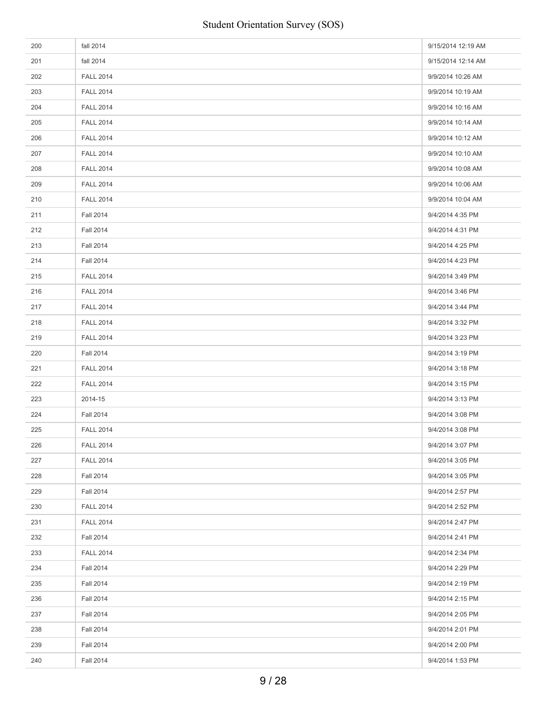| 200 | fall 2014        | 9/15/2014 12:19 AM |
|-----|------------------|--------------------|
| 201 | fall 2014        | 9/15/2014 12:14 AM |
| 202 | <b>FALL 2014</b> | 9/9/2014 10:26 AM  |
| 203 | <b>FALL 2014</b> | 9/9/2014 10:19 AM  |
| 204 | <b>FALL 2014</b> | 9/9/2014 10:16 AM  |
| 205 | <b>FALL 2014</b> | 9/9/2014 10:14 AM  |
| 206 | <b>FALL 2014</b> | 9/9/2014 10:12 AM  |
| 207 | <b>FALL 2014</b> | 9/9/2014 10:10 AM  |
| 208 | <b>FALL 2014</b> | 9/9/2014 10:08 AM  |
| 209 | <b>FALL 2014</b> | 9/9/2014 10:06 AM  |
| 210 | <b>FALL 2014</b> | 9/9/2014 10:04 AM  |
| 211 | <b>Fall 2014</b> | 9/4/2014 4:35 PM   |
| 212 | <b>Fall 2014</b> | 9/4/2014 4:31 PM   |
| 213 | <b>Fall 2014</b> | 9/4/2014 4:25 PM   |
| 214 | <b>Fall 2014</b> | 9/4/2014 4:23 PM   |
| 215 | <b>FALL 2014</b> | 9/4/2014 3:49 PM   |
| 216 | <b>FALL 2014</b> | 9/4/2014 3:46 PM   |
| 217 | <b>FALL 2014</b> | 9/4/2014 3:44 PM   |
| 218 | <b>FALL 2014</b> | 9/4/2014 3:32 PM   |
| 219 | <b>FALL 2014</b> | 9/4/2014 3:23 PM   |
| 220 | <b>Fall 2014</b> | 9/4/2014 3:19 PM   |
| 221 | <b>FALL 2014</b> | 9/4/2014 3:18 PM   |
| 222 | <b>FALL 2014</b> | 9/4/2014 3:15 PM   |
| 223 | 2014-15          | 9/4/2014 3:13 PM   |
| 224 | <b>Fall 2014</b> | 9/4/2014 3:08 PM   |
| 225 | <b>FALL 2014</b> | 9/4/2014 3:08 PM   |
| 226 | <b>FALL 2014</b> | 9/4/2014 3:07 PM   |
| 227 | <b>FALL 2014</b> | 9/4/2014 3:05 PM   |
| 228 | <b>Fall 2014</b> | 9/4/2014 3:05 PM   |
| 229 | <b>Fall 2014</b> | 9/4/2014 2:57 PM   |
| 230 | <b>FALL 2014</b> | 9/4/2014 2:52 PM   |
| 231 | <b>FALL 2014</b> | 9/4/2014 2:47 PM   |
| 232 | <b>Fall 2014</b> | 9/4/2014 2:41 PM   |
| 233 | <b>FALL 2014</b> | 9/4/2014 2:34 PM   |
| 234 | <b>Fall 2014</b> | 9/4/2014 2:29 PM   |
| 235 | <b>Fall 2014</b> | 9/4/2014 2:19 PM   |
| 236 | <b>Fall 2014</b> | 9/4/2014 2:15 PM   |
| 237 | <b>Fall 2014</b> | 9/4/2014 2:05 PM   |
| 238 | <b>Fall 2014</b> | 9/4/2014 2:01 PM   |
| 239 | <b>Fall 2014</b> | 9/4/2014 2:00 PM   |
| 240 | <b>Fall 2014</b> | 9/4/2014 1:53 PM   |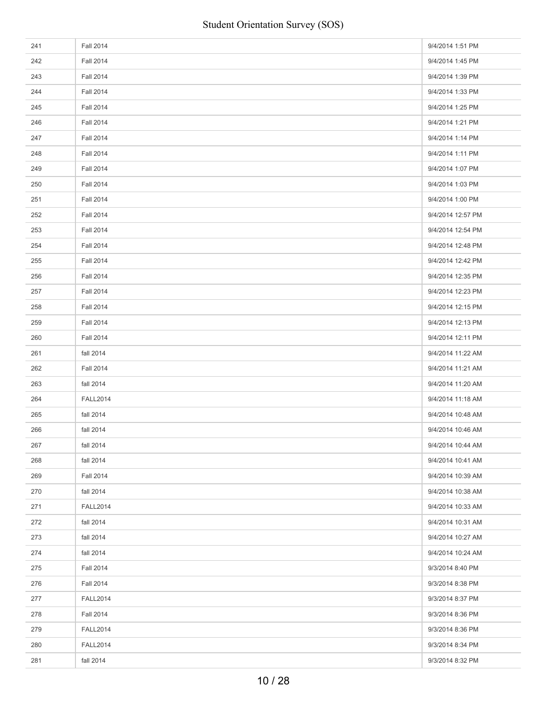| 241 | <b>Fall 2014</b> | 9/4/2014 1:51 PM  |
|-----|------------------|-------------------|
| 242 | <b>Fall 2014</b> | 9/4/2014 1:45 PM  |
| 243 | <b>Fall 2014</b> | 9/4/2014 1:39 PM  |
| 244 | <b>Fall 2014</b> | 9/4/2014 1:33 PM  |
| 245 | <b>Fall 2014</b> | 9/4/2014 1:25 PM  |
| 246 | <b>Fall 2014</b> | 9/4/2014 1:21 PM  |
| 247 | <b>Fall 2014</b> | 9/4/2014 1:14 PM  |
| 248 | <b>Fall 2014</b> | 9/4/2014 1:11 PM  |
| 249 | <b>Fall 2014</b> | 9/4/2014 1:07 PM  |
| 250 | <b>Fall 2014</b> | 9/4/2014 1:03 PM  |
| 251 | <b>Fall 2014</b> | 9/4/2014 1:00 PM  |
| 252 | <b>Fall 2014</b> | 9/4/2014 12:57 PM |
| 253 | <b>Fall 2014</b> | 9/4/2014 12:54 PM |
| 254 | <b>Fall 2014</b> | 9/4/2014 12:48 PM |
| 255 | <b>Fall 2014</b> | 9/4/2014 12:42 PM |
| 256 | <b>Fall 2014</b> | 9/4/2014 12:35 PM |
| 257 | <b>Fall 2014</b> | 9/4/2014 12:23 PM |
| 258 | <b>Fall 2014</b> | 9/4/2014 12:15 PM |
| 259 | <b>Fall 2014</b> | 9/4/2014 12:13 PM |
| 260 | <b>Fall 2014</b> | 9/4/2014 12:11 PM |
| 261 | fall 2014        | 9/4/2014 11:22 AM |
| 262 | <b>Fall 2014</b> | 9/4/2014 11:21 AM |
| 263 | fall 2014        | 9/4/2014 11:20 AM |
| 264 | <b>FALL2014</b>  | 9/4/2014 11:18 AM |
| 265 | fall 2014        | 9/4/2014 10:48 AM |
| 266 | fall 2014        | 9/4/2014 10:46 AM |
| 267 | fall 2014        | 9/4/2014 10:44 AM |
| 268 | fall 2014        | 9/4/2014 10:41 AM |
| 269 | <b>Fall 2014</b> | 9/4/2014 10:39 AM |
| 270 | fall 2014        | 9/4/2014 10:38 AM |
| 271 | <b>FALL2014</b>  | 9/4/2014 10:33 AM |
| 272 | fall 2014        | 9/4/2014 10:31 AM |
| 273 | fall 2014        | 9/4/2014 10:27 AM |
| 274 | fall 2014        | 9/4/2014 10:24 AM |
| 275 | <b>Fall 2014</b> | 9/3/2014 8:40 PM  |
| 276 | <b>Fall 2014</b> | 9/3/2014 8:38 PM  |
| 277 | <b>FALL2014</b>  | 9/3/2014 8:37 PM  |
| 278 | <b>Fall 2014</b> | 9/3/2014 8:36 PM  |
| 279 | <b>FALL2014</b>  | 9/3/2014 8:36 PM  |
| 280 | <b>FALL2014</b>  | 9/3/2014 8:34 PM  |
| 281 | fall 2014        | 9/3/2014 8:32 PM  |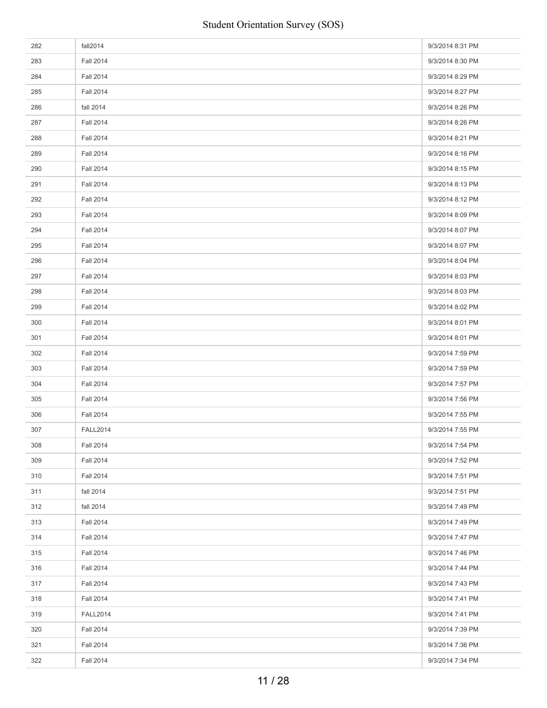| 282 | fall2014         | 9/3/2014 8:31 PM |
|-----|------------------|------------------|
| 283 | <b>Fall 2014</b> | 9/3/2014 8:30 PM |
| 284 | <b>Fall 2014</b> | 9/3/2014 8:29 PM |
| 285 | <b>Fall 2014</b> | 9/3/2014 8:27 PM |
| 286 | fall 2014        | 9/3/2014 8:26 PM |
| 287 | <b>Fall 2014</b> | 9/3/2014 8:26 PM |
| 288 | <b>Fall 2014</b> | 9/3/2014 8:21 PM |
| 289 | <b>Fall 2014</b> | 9/3/2014 8:16 PM |
| 290 | <b>Fall 2014</b> | 9/3/2014 8:15 PM |
| 291 | <b>Fall 2014</b> | 9/3/2014 8:13 PM |
| 292 | <b>Fall 2014</b> | 9/3/2014 8:12 PM |
| 293 | <b>Fall 2014</b> | 9/3/2014 8:09 PM |
| 294 | <b>Fall 2014</b> | 9/3/2014 8:07 PM |
| 295 | <b>Fall 2014</b> | 9/3/2014 8:07 PM |
| 296 | <b>Fall 2014</b> | 9/3/2014 8:04 PM |
| 297 | <b>Fall 2014</b> | 9/3/2014 8:03 PM |
| 298 | <b>Fall 2014</b> | 9/3/2014 8:03 PM |
| 299 | <b>Fall 2014</b> | 9/3/2014 8:02 PM |
| 300 | <b>Fall 2014</b> | 9/3/2014 8:01 PM |
| 301 | <b>Fall 2014</b> | 9/3/2014 8:01 PM |
| 302 | <b>Fall 2014</b> | 9/3/2014 7:59 PM |
| 303 | <b>Fall 2014</b> | 9/3/2014 7:59 PM |
| 304 | <b>Fall 2014</b> | 9/3/2014 7:57 PM |
| 305 | <b>Fall 2014</b> | 9/3/2014 7:56 PM |
| 306 | <b>Fall 2014</b> | 9/3/2014 7:55 PM |
| 307 | <b>FALL2014</b>  | 9/3/2014 7:55 PM |
| 308 | <b>Fall 2014</b> | 9/3/2014 7:54 PM |
| 309 | <b>Fall 2014</b> | 9/3/2014 7:52 PM |
| 310 | <b>Fall 2014</b> | 9/3/2014 7:51 PM |
| 311 | fall 2014        | 9/3/2014 7:51 PM |
| 312 | fall 2014        | 9/3/2014 7:49 PM |
| 313 | <b>Fall 2014</b> | 9/3/2014 7:49 PM |
| 314 | <b>Fall 2014</b> | 9/3/2014 7:47 PM |
| 315 | <b>Fall 2014</b> | 9/3/2014 7:46 PM |
| 316 | <b>Fall 2014</b> | 9/3/2014 7:44 PM |
| 317 | <b>Fall 2014</b> | 9/3/2014 7:43 PM |
| 318 | <b>Fall 2014</b> | 9/3/2014 7:41 PM |
| 319 | <b>FALL2014</b>  | 9/3/2014 7:41 PM |
| 320 | <b>Fall 2014</b> | 9/3/2014 7:39 PM |
| 321 | <b>Fall 2014</b> | 9/3/2014 7:36 PM |
| 322 | <b>Fall 2014</b> | 9/3/2014 7:34 PM |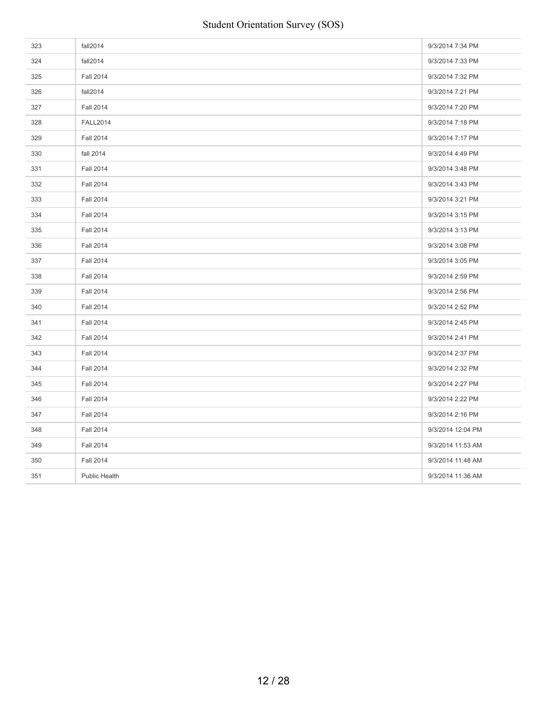| 323 | fall2014             | 9/3/2014 7:34 PM  |
|-----|----------------------|-------------------|
| 324 | fall2014             | 9/3/2014 7:33 PM  |
| 325 | <b>Fall 2014</b>     | 9/3/2014 7:32 PM  |
| 326 | fall2014             | 9/3/2014 7:21 PM  |
| 327 | <b>Fall 2014</b>     | 9/3/2014 7:20 PM  |
| 328 | <b>FALL2014</b>      | 9/3/2014 7:18 PM  |
| 329 | <b>Fall 2014</b>     | 9/3/2014 7:17 PM  |
| 330 | fall 2014            | 9/3/2014 4:49 PM  |
| 331 | <b>Fall 2014</b>     | 9/3/2014 3:48 PM  |
| 332 | <b>Fall 2014</b>     | 9/3/2014 3:43 PM  |
| 333 | <b>Fall 2014</b>     | 9/3/2014 3:21 PM  |
| 334 | <b>Fall 2014</b>     | 9/3/2014 3:15 PM  |
| 335 | <b>Fall 2014</b>     | 9/3/2014 3:13 PM  |
| 336 | <b>Fall 2014</b>     | 9/3/2014 3:08 PM  |
| 337 | <b>Fall 2014</b>     | 9/3/2014 3:05 PM  |
| 338 | <b>Fall 2014</b>     | 9/3/2014 2:59 PM  |
| 339 | <b>Fall 2014</b>     | 9/3/2014 2:56 PM  |
| 340 | <b>Fall 2014</b>     | 9/3/2014 2:52 PM  |
| 341 | <b>Fall 2014</b>     | 9/3/2014 2:45 PM  |
| 342 | <b>Fall 2014</b>     | 9/3/2014 2:41 PM  |
| 343 | <b>Fall 2014</b>     | 9/3/2014 2:37 PM  |
| 344 | <b>Fall 2014</b>     | 9/3/2014 2:32 PM  |
| 345 | <b>Fall 2014</b>     | 9/3/2014 2:27 PM  |
| 346 | <b>Fall 2014</b>     | 9/3/2014 2:22 PM  |
| 347 | <b>Fall 2014</b>     | 9/3/2014 2:16 PM  |
| 348 | <b>Fall 2014</b>     | 9/3/2014 12:04 PM |
| 349 | <b>Fall 2014</b>     | 9/3/2014 11:53 AM |
| 350 | <b>Fall 2014</b>     | 9/3/2014 11:48 AM |
| 351 | <b>Public Health</b> | 9/3/2014 11:36 AM |
|     |                      |                   |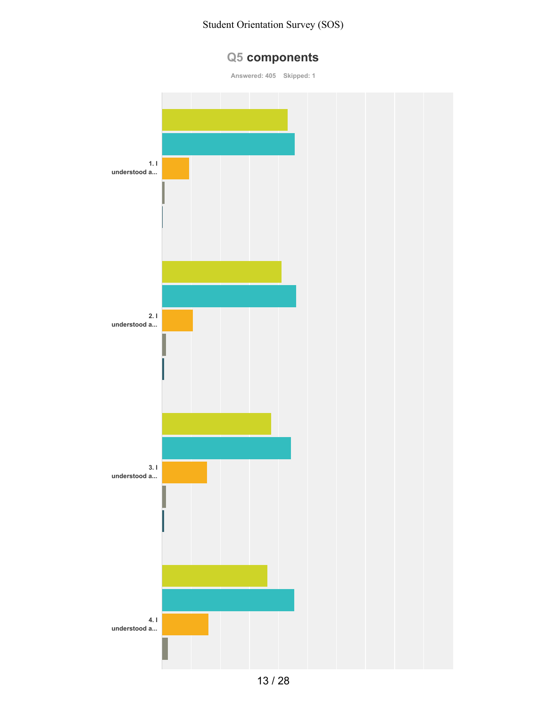# **Q5 components**

**Answered: 405 Skipped: 1**

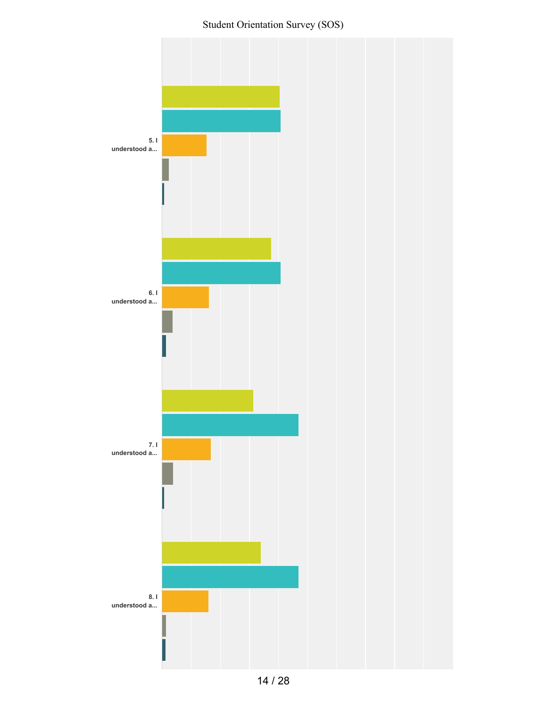Student Orientation Survey (SOS)

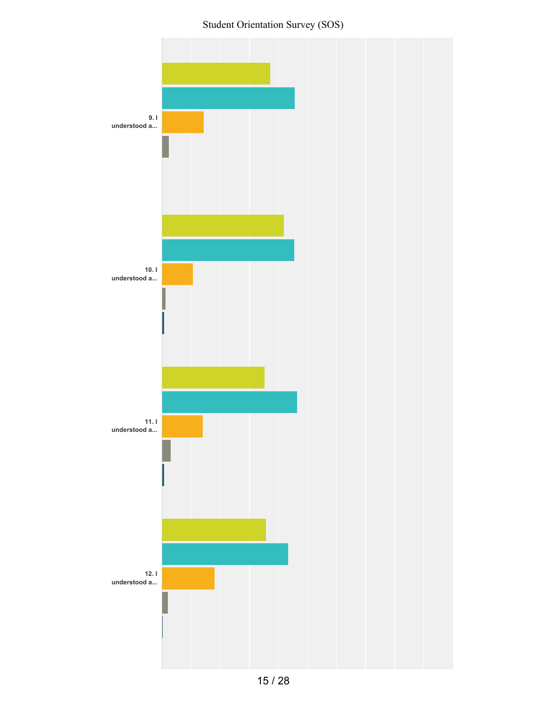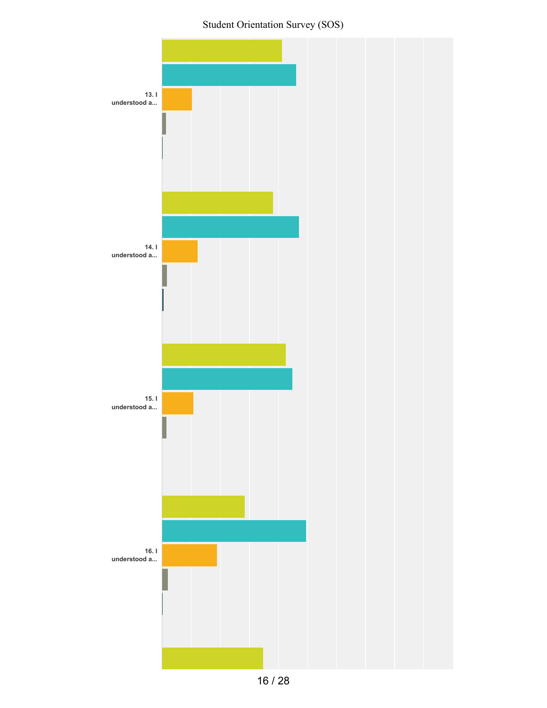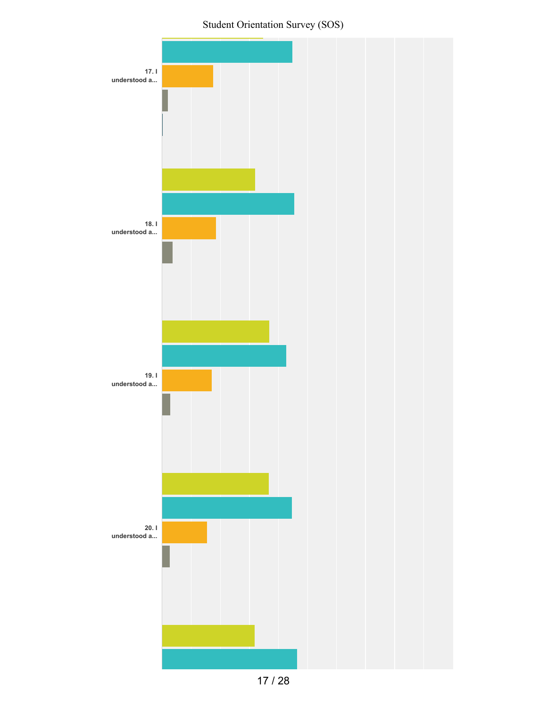

17 / 28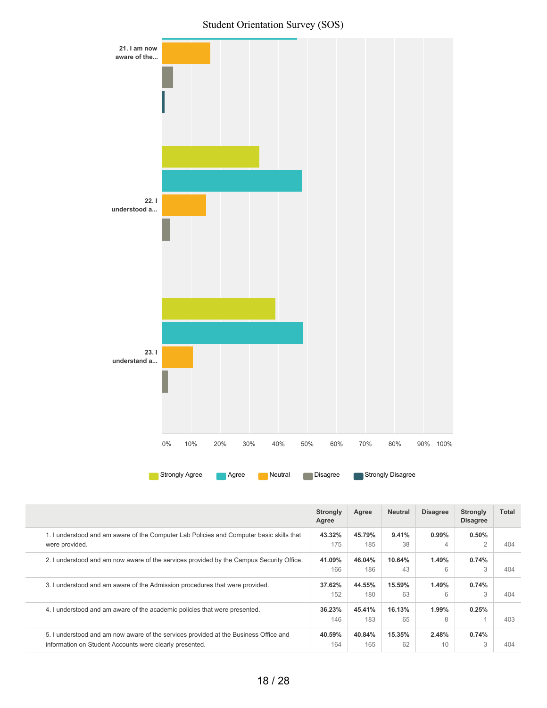

|                                                                                                                                                 | <b>Strongly</b><br>Agree | Agree         | <b>Neutral</b> | <b>Disagree</b> | <b>Strongly</b><br><b>Disagree</b> | Total |
|-------------------------------------------------------------------------------------------------------------------------------------------------|--------------------------|---------------|----------------|-----------------|------------------------------------|-------|
| 1. I understood and am aware of the Computer Lab Policies and Computer basic skills that<br>were provided.                                      | 43.32%<br>175            | 45.79%<br>185 | 9.41%<br>38    | $0.99\%$<br>4   | $0.50\%$<br>$\overline{2}$         | 404   |
| 2. I understood and am now aware of the services provided by the Campus Security Office.                                                        | 41.09%<br>166            | 46.04%<br>186 | 10.64%<br>43   | 1.49%<br>6      | 0.74%<br>3                         | 404   |
| 3. I understood and am aware of the Admission procedures that were provided.                                                                    | 37.62%<br>152            | 44.55%<br>180 | 15.59%<br>63   | 1.49%<br>6      | 0.74%<br>3                         | 404   |
| 4. I understood and am aware of the academic policies that were presented.                                                                      | 36.23%<br>146            | 45.41%<br>183 | 16.13%<br>65   | 1.99%<br>8      | 0.25%                              | 403   |
| 5. I understood and am now aware of the services provided at the Business Office and<br>information on Student Accounts were clearly presented. | 40.59%<br>164            | 40.84%<br>165 | 15.35%<br>62   | 2.48%<br>10     | 0.74%<br>3                         | 404   |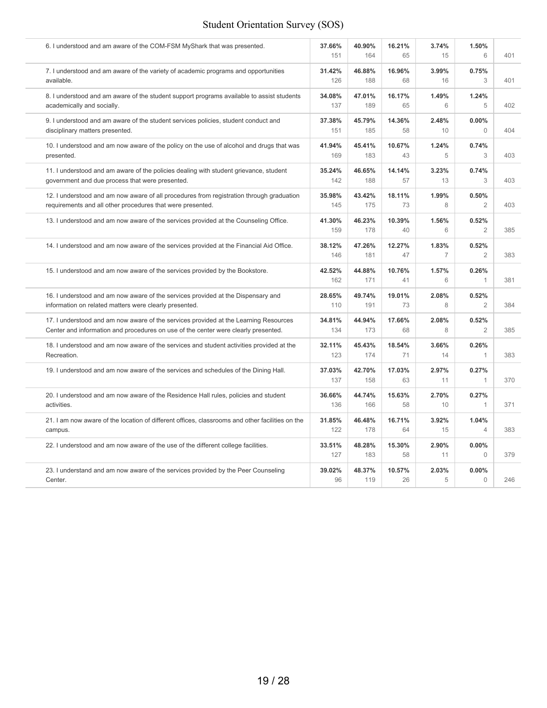| 6. I understood and am aware of the COM-FSM MyShark that was presented.                         | 37.66%<br>151 | 40.90%<br>164 | 16.21%<br>65 | 3.74%<br>15             | 1.50%<br>6              | 401 |
|-------------------------------------------------------------------------------------------------|---------------|---------------|--------------|-------------------------|-------------------------|-----|
| 7. I understood and am aware of the variety of academic programs and opportunities              | 31.42%        | 46.88%        | 16.96%       | 3.99%                   | 0.75%                   | 401 |
| available.                                                                                      | 126           | 188           | 68           | 16                      | 3                       |     |
| 8. I understood and am aware of the student support programs available to assist students       | 34.08%        | 47.01%        | 16.17%       | 1.49%                   | 1.24%                   | 402 |
| academically and socially.                                                                      | 137           | 189           | 65           | 6                       | 5                       |     |
| 9. I understood and am aware of the student services policies, student conduct and              | 37.38%        | 45.79%        | 14.36%       | 2.48%                   | 0.00%                   | 404 |
| disciplinary matters presented.                                                                 | 151           | 185           | 58           | 10                      | $\Omega$                |     |
| 10. I understood and am now aware of the policy on the use of alcohol and drugs that was        | 41.94%        | 45.41%        | 10.67%       | 1.24%                   | 0.74%                   | 403 |
| presented.                                                                                      | 169           | 183           | 43           | 5                       | 3                       |     |
| 11. I understood and am aware of the policies dealing with student grievance, student           | 35.24%        | 46.65%        | 14.14%       | 3.23%                   | 0.74%                   | 403 |
| government and due process that were presented.                                                 | 142           | 188           | 57           | 13                      | 3                       |     |
| 12. I understood and am now aware of all procedures from registration through graduation        | 35.98%        | 43.42%        | 18.11%       | 1.99%                   | 0.50%                   | 403 |
| requirements and all other procedures that were presented.                                      | 145           | 175           | 73           | 8                       | $\overline{2}$          |     |
| 13. I understood and am now aware of the services provided at the Counseling Office.            | 41.30%<br>159 | 46.23%<br>178 | 10.39%<br>40 | 1.56%<br>6              | 0.52%<br>$\overline{2}$ | 385 |
| 14. I understood and am now aware of the services provided at the Financial Aid Office.         | 38.12%<br>146 | 47.26%<br>181 | 12.27%<br>47 | 1.83%<br>$\overline{7}$ | 0.52%<br>$\overline{2}$ | 383 |
| 15. I understood and am now aware of the services provided by the Bookstore.                    | 42.52%<br>162 | 44.88%<br>171 | 10.76%<br>41 | 1.57%<br>6              | 0.26%<br>$\mathbf{1}$   | 381 |
| 16. I understood and am now aware of the services provided at the Dispensary and                | 28.65%        | 49.74%        | 19.01%       | 2.08%                   | 0.52%                   | 384 |
| information on related matters were clearly presented.                                          | 110           | 191           | 73           | 8                       | $\overline{2}$          |     |
| 17. I understood and am now aware of the services provided at the Learning Resources            | 34.81%        | 44.94%        | 17.66%       | 2.08%                   | 0.52%                   | 385 |
| Center and information and procedures on use of the center were clearly presented.              | 134           | 173           | 68           | 8                       | $\overline{2}$          |     |
| 18. I understood and am now aware of the services and student activities provided at the        | 32.11%        | 45.43%        | 18.54%       | 3.66%                   | 0.26%                   | 383 |
| Recreation.                                                                                     | 123           | 174           | 71           | 14                      | 1                       |     |
| 19. I understood and am now aware of the services and schedules of the Dining Hall.             | 37.03%<br>137 | 42.70%<br>158 | 17.03%<br>63 | 2.97%<br>11             | 0.27%<br>1              | 370 |
| 20. I understood and am now aware of the Residence Hall rules, policies and student             | 36.66%        | 44.74%        | 15.63%       | 2.70%                   | 0.27%                   | 371 |
| activities.                                                                                     | 136           | 166           | 58           | 10                      | 1                       |     |
| 21. I am now aware of the location of different offices, classrooms and other facilities on the | 31.85%        | 46.48%        | 16.71%       | 3.92%                   | 1.04%                   | 383 |
| campus.                                                                                         | 122           | 178           | 64           | 15                      | $\overline{4}$          |     |
| 22. I understood and am now aware of the use of the different college facilities.               | 33.51%<br>127 | 48.28%<br>183 | 15.30%<br>58 | 2.90%<br>11             | 0.00%<br>$\Omega$       | 379 |
| 23. I understand and am now aware of the services provided by the Peer Counseling               | 39.02%        | 48.37%        | 10.57%       | 2.03%                   | 0.00%                   | 246 |
| Center.                                                                                         | 96            | 119           | 26           | 5                       | $\Omega$                |     |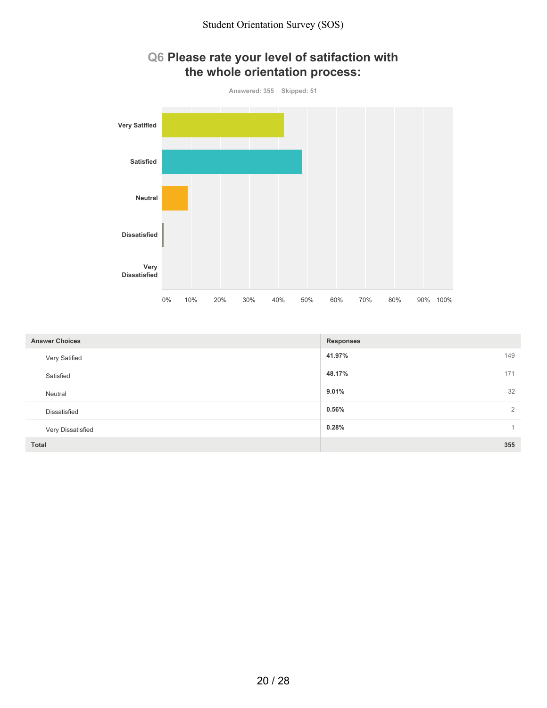

| <b>Answer Choices</b> | <b>Responses</b> |
|-----------------------|------------------|
| Very Satified         | 149<br>41.97%    |
| Satisfied             | 48.17%<br>171    |
| Neutral               | 32<br>9.01%      |
| Dissatisfied          | 0.56%<br>2       |
| Very Dissatisfied     | 0.28%            |
| Total                 | 355              |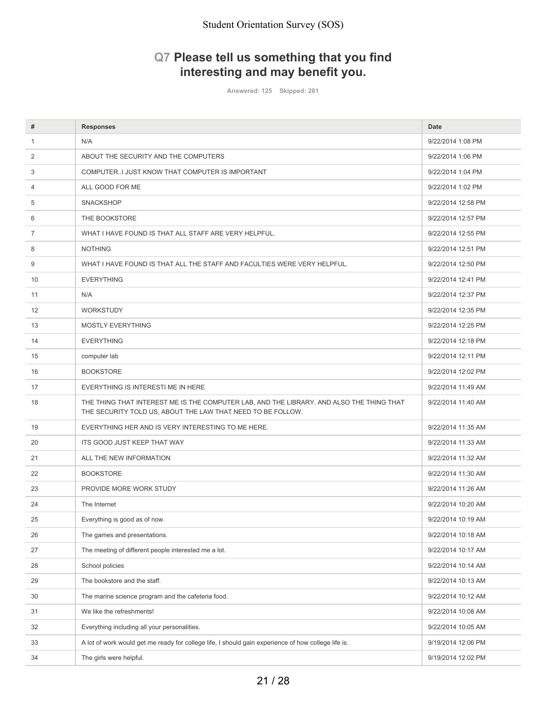# **Q7 Please tell us something that you find interesting and may benefit you.**

**Answered: 125 Skipped: 281**

| #              | <b>Responses</b>                                                                                                                                        | <b>Date</b>        |
|----------------|---------------------------------------------------------------------------------------------------------------------------------------------------------|--------------------|
| $\mathbf{1}$   | N/A                                                                                                                                                     | 9/22/2014 1:08 PM  |
| 2              | ABOUT THE SECURITY AND THE COMPUTERS                                                                                                                    | 9/22/2014 1:06 PM  |
| 3              | COMPUTERI JUST KNOW THAT COMPUTER IS IMPORTANT                                                                                                          | 9/22/2014 1:04 PM  |
| 4              | ALL GOOD FOR ME                                                                                                                                         | 9/22/2014 1:02 PM  |
| 5              | <b>SNACKSHOP</b>                                                                                                                                        | 9/22/2014 12:58 PM |
| 6              | THE BOOKSTORE                                                                                                                                           | 9/22/2014 12:57 PM |
| $\overline{7}$ | WHAT I HAVE FOUND IS THAT ALL STAFF ARE VERY HELPFUL.                                                                                                   | 9/22/2014 12:55 PM |
| 8              | <b>NOTHING</b>                                                                                                                                          | 9/22/2014 12:51 PM |
| 9              | WHAT I HAVE FOUND IS THAT ALL THE STAFF AND FACULTIES WERE VERY HELPFUL.                                                                                | 9/22/2014 12:50 PM |
| 10             | <b>EVERYTHING</b>                                                                                                                                       | 9/22/2014 12:41 PM |
| 11             | N/A                                                                                                                                                     | 9/22/2014 12:37 PM |
| 12             | <b>WORKSTUDY</b>                                                                                                                                        | 9/22/2014 12:35 PM |
| 13             | <b>MOSTLY EVERYTHING</b>                                                                                                                                | 9/22/2014 12:25 PM |
| 14             | <b>EVERYTHING</b>                                                                                                                                       | 9/22/2014 12:18 PM |
| 15             | computer lab                                                                                                                                            | 9/22/2014 12:11 PM |
| 16             | <b>BOOKSTORE</b>                                                                                                                                        | 9/22/2014 12:02 PM |
| 17             | EVERYTHING IS INTERESTI ME IN HERE                                                                                                                      | 9/22/2014 11:49 AM |
| 18             | THE THING THAT INTEREST ME IS THE COMPUTER LAB, AND THE LIBRARY. AND ALSO THE THING THAT<br>THE SECURITY TOLD US, ABOUT THE LAW THAT NEED TO BE FOLLOW. | 9/22/2014 11:40 AM |
| 19             | EVERYTHING HER AND IS VERY INTERESTING TO ME HERE.                                                                                                      | 9/22/2014 11:35 AM |
| 20             | ITS GOOD JUST KEEP THAT WAY                                                                                                                             | 9/22/2014 11:33 AM |
| 21             | ALL THE NEW INFORMATION                                                                                                                                 | 9/22/2014 11:32 AM |
| 22             | <b>BOOKSTORE</b>                                                                                                                                        | 9/22/2014 11:30 AM |
| 23             | PROVIDE MORE WORK STUDY                                                                                                                                 | 9/22/2014 11:26 AM |
| 24             | The Internet                                                                                                                                            | 9/22/2014 10:20 AM |
| 25             | Everything is good as of now.                                                                                                                           | 9/22/2014 10:19 AM |
| 26             | The games and presentations.                                                                                                                            | 9/22/2014 10:18 AM |
| 27             | The meeting of different people interested me a lot.                                                                                                    | 9/22/2014 10:17 AM |
| 28             | School policies                                                                                                                                         | 9/22/2014 10:14 AM |
| 29             | The bookstore and the staff.                                                                                                                            | 9/22/2014 10:13 AM |
| 30             | The marine science program and the cafeteria food.                                                                                                      | 9/22/2014 10:12 AM |
| 31             | We like the refreshments!                                                                                                                               | 9/22/2014 10:08 AM |
| 32             | Everything including all your personalities.                                                                                                            | 9/22/2014 10:05 AM |
| 33             | A lot of work would get me ready for college life, I should gain experience of how college life is.                                                     | 9/19/2014 12:06 PM |
| 34             | The girls were helpful.                                                                                                                                 | 9/19/2014 12:02 PM |
|                |                                                                                                                                                         |                    |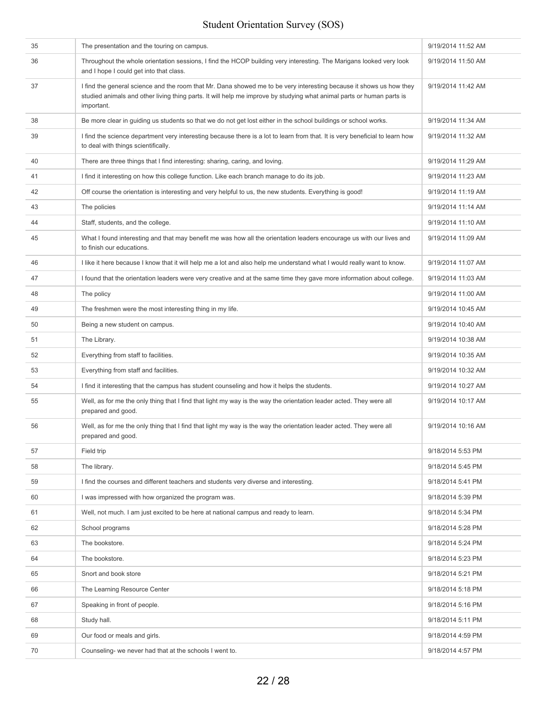| 35 | The presentation and the touring on campus.                                                                                                                                                                                                                | 9/19/2014 11:52 AM |
|----|------------------------------------------------------------------------------------------------------------------------------------------------------------------------------------------------------------------------------------------------------------|--------------------|
| 36 | Throughout the whole orientation sessions, I find the HCOP building very interesting. The Marigans looked very look<br>and I hope I could get into that class.                                                                                             | 9/19/2014 11:50 AM |
| 37 | I find the general science and the room that Mr. Dana showed me to be very interesting because it shows us how they<br>studied animals and other living thing parts. It will help me improve by studying what animal parts or human parts is<br>important. | 9/19/2014 11:42 AM |
| 38 | Be more clear in guiding us students so that we do not get lost either in the school buildings or school works.                                                                                                                                            | 9/19/2014 11:34 AM |
| 39 | I find the science department very interesting because there is a lot to learn from that. It is very beneficial to learn how<br>to deal with things scientifically.                                                                                        | 9/19/2014 11:32 AM |
| 40 | There are three things that I find interesting: sharing, caring, and loving.                                                                                                                                                                               | 9/19/2014 11:29 AM |
| 41 | I find it interesting on how this college function. Like each branch manage to do its job.                                                                                                                                                                 | 9/19/2014 11:23 AM |
| 42 | Off course the orientation is interesting and very helpful to us, the new students. Everything is good!                                                                                                                                                    | 9/19/2014 11:19 AM |
| 43 | The policies                                                                                                                                                                                                                                               | 9/19/2014 11:14 AM |
| 44 | Staff, students, and the college.                                                                                                                                                                                                                          | 9/19/2014 11:10 AM |
| 45 | What I found interesting and that may benefit me was how all the orientation leaders encourage us with our lives and<br>to finish our educations.                                                                                                          | 9/19/2014 11:09 AM |
| 46 | I like it here because I know that it will help me a lot and also help me understand what I would really want to know.                                                                                                                                     | 9/19/2014 11:07 AM |
| 47 | I found that the orientation leaders were very creative and at the same time they gave more information about college.                                                                                                                                     | 9/19/2014 11:03 AM |
| 48 | The policy                                                                                                                                                                                                                                                 | 9/19/2014 11:00 AM |
| 49 | The freshmen were the most interesting thing in my life.                                                                                                                                                                                                   | 9/19/2014 10:45 AM |
| 50 | Being a new student on campus.                                                                                                                                                                                                                             | 9/19/2014 10:40 AM |
| 51 | The Library.                                                                                                                                                                                                                                               | 9/19/2014 10:38 AM |
| 52 | Everything from staff to facilities.                                                                                                                                                                                                                       | 9/19/2014 10:35 AM |
| 53 | Everything from staff and facilities.                                                                                                                                                                                                                      | 9/19/2014 10:32 AM |
| 54 | I find it interesting that the campus has student counseling and how it helps the students.                                                                                                                                                                | 9/19/2014 10:27 AM |
| 55 | Well, as for me the only thing that I find that light my way is the way the orientation leader acted. They were all<br>prepared and good.                                                                                                                  | 9/19/2014 10:17 AM |
| 56 | Well, as for me the only thing that I find that light my way is the way the orientation leader acted. They were all<br>prepared and good.                                                                                                                  | 9/19/2014 10:16 AM |
| 57 | Field trip                                                                                                                                                                                                                                                 | 9/18/2014 5:53 PM  |
| 58 | The library.                                                                                                                                                                                                                                               | 9/18/2014 5:45 PM  |
| 59 | I find the courses and different teachers and students very diverse and interesting.                                                                                                                                                                       | 9/18/2014 5:41 PM  |
| 60 | I was impressed with how organized the program was.                                                                                                                                                                                                        | 9/18/2014 5:39 PM  |
| 61 | Well, not much. I am just excited to be here at national campus and ready to learn.                                                                                                                                                                        | 9/18/2014 5:34 PM  |
| 62 | School programs                                                                                                                                                                                                                                            | 9/18/2014 5:28 PM  |
| 63 | The bookstore.                                                                                                                                                                                                                                             | 9/18/2014 5:24 PM  |
| 64 | The bookstore.                                                                                                                                                                                                                                             | 9/18/2014 5:23 PM  |
| 65 | Snort and book store                                                                                                                                                                                                                                       | 9/18/2014 5:21 PM  |
| 66 | The Learning Resource Center                                                                                                                                                                                                                               | 9/18/2014 5:18 PM  |
| 67 | Speaking in front of people.                                                                                                                                                                                                                               | 9/18/2014 5:16 PM  |
| 68 | Study hall.                                                                                                                                                                                                                                                | 9/18/2014 5:11 PM  |
| 69 | Our food or meals and girls.                                                                                                                                                                                                                               | 9/18/2014 4:59 PM  |
| 70 | Counseling- we never had that at the schools I went to.                                                                                                                                                                                                    | 9/18/2014 4:57 PM  |
|    |                                                                                                                                                                                                                                                            |                    |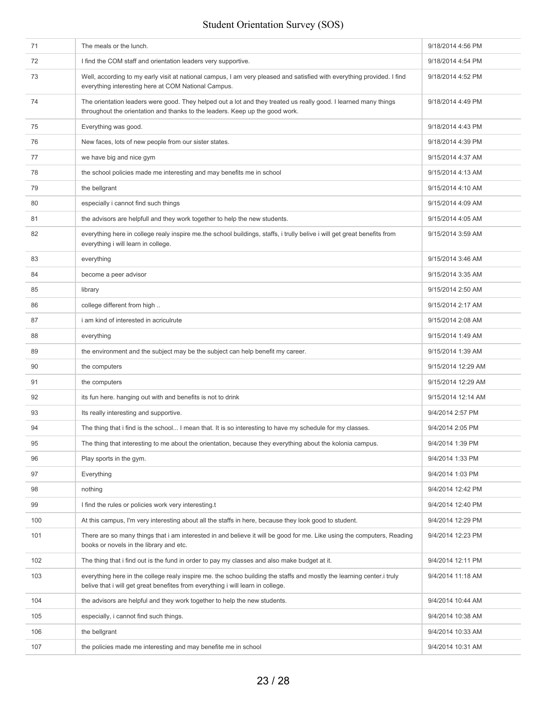| 71  | The meals or the lunch.                                                                                                                                                                                  | 9/18/2014 4:56 PM  |
|-----|----------------------------------------------------------------------------------------------------------------------------------------------------------------------------------------------------------|--------------------|
| 72  | I find the COM staff and orientation leaders very supportive.                                                                                                                                            | 9/18/2014 4:54 PM  |
| 73  | Well, according to my early visit at national campus, I am very pleased and satisfied with everything provided. I find<br>everything interesting here at COM National Campus.                            | 9/18/2014 4:52 PM  |
| 74  | The orientation leaders were good. They helped out a lot and they treated us really good. I learned many things<br>throughout the orientation and thanks to the leaders. Keep up the good work.          | 9/18/2014 4:49 PM  |
| 75  | Everything was good.                                                                                                                                                                                     | 9/18/2014 4:43 PM  |
| 76  | New faces, lots of new people from our sister states.                                                                                                                                                    | 9/18/2014 4:39 PM  |
| 77  | we have big and nice gym                                                                                                                                                                                 | 9/15/2014 4:37 AM  |
| 78  | the school policies made me interesting and may benefits me in school                                                                                                                                    | 9/15/2014 4:13 AM  |
| 79  | the bellgrant                                                                                                                                                                                            | 9/15/2014 4:10 AM  |
| 80  | especially i cannot find such things                                                                                                                                                                     | 9/15/2014 4:09 AM  |
| 81  | the advisors are helpfull and they work together to help the new students.                                                                                                                               | 9/15/2014 4:05 AM  |
| 82  | everything here in college realy inspire me.the school buildings, staffs, i trully belive i will get great benefits from<br>everything i will learn in college.                                          | 9/15/2014 3:59 AM  |
| 83  | everything                                                                                                                                                                                               | 9/15/2014 3:46 AM  |
| 84  | become a peer advisor                                                                                                                                                                                    | 9/15/2014 3:35 AM  |
| 85  | library                                                                                                                                                                                                  | 9/15/2014 2:50 AM  |
| 86  | college different from high                                                                                                                                                                              | 9/15/2014 2:17 AM  |
| 87  | i am kind of interested in acriculrute                                                                                                                                                                   | 9/15/2014 2:08 AM  |
| 88  | everything                                                                                                                                                                                               | 9/15/2014 1:49 AM  |
| 89  | the environment and the subject may be the subject can help benefit my career.                                                                                                                           | 9/15/2014 1:39 AM  |
| 90  | the computers                                                                                                                                                                                            | 9/15/2014 12:29 AM |
| 91  | the computers                                                                                                                                                                                            | 9/15/2014 12:29 AM |
| 92  | its fun here. hanging out with and benefits is not to drink                                                                                                                                              | 9/15/2014 12:14 AM |
| 93  | Its really interesting and supportive.                                                                                                                                                                   | 9/4/2014 2:57 PM   |
| 94  | The thing that i find is the school I mean that. It is so interesting to have my schedule for my classes.                                                                                                | 9/4/2014 2:05 PM   |
| 95  | The thing that interesting to me about the orientation, because they everything about the kolonia campus.                                                                                                | 9/4/2014 1:39 PM   |
| 96  | Play sports in the gym.                                                                                                                                                                                  | 9/4/2014 1:33 PM   |
| 97  | Everything                                                                                                                                                                                               | 9/4/2014 1:03 PM   |
| 98  | nothing                                                                                                                                                                                                  | 9/4/2014 12:42 PM  |
| 99  | I find the rules or policies work very interesting.t                                                                                                                                                     | 9/4/2014 12:40 PM  |
| 100 | At this campus, I'm very interesting about all the staffs in here, because they look good to student.                                                                                                    | 9/4/2014 12:29 PM  |
| 101 | There are so many things that i am interested in and believe it will be good for me. Like using the computers, Reading<br>books or novels in the library and etc.                                        | 9/4/2014 12:23 PM  |
| 102 | The thing that i find out is the fund in order to pay my classes and also make budget at it.                                                                                                             | 9/4/2014 12:11 PM  |
| 103 | everything here in the college realy inspire me. the schoo building the staffs and mostly the learning center.i truly<br>belive that i will get great benefites from everything i will learn in college. | 9/4/2014 11:18 AM  |
| 104 | the advisors are helpful and they work together to help the new students.                                                                                                                                | 9/4/2014 10:44 AM  |
| 105 | especially, i cannot find such things.                                                                                                                                                                   | 9/4/2014 10:38 AM  |
| 106 | the bellgrant                                                                                                                                                                                            | 9/4/2014 10:33 AM  |
| 107 | the policies made me interesting and may benefite me in school                                                                                                                                           | 9/4/2014 10:31 AM  |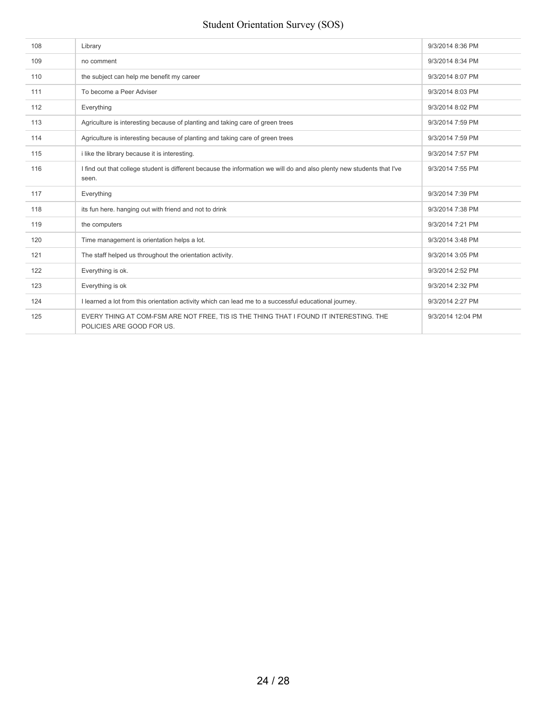| 108 | Library                                                                                                                         | 9/3/2014 8:36 PM  |
|-----|---------------------------------------------------------------------------------------------------------------------------------|-------------------|
| 109 | no comment                                                                                                                      | 9/3/2014 8:34 PM  |
| 110 | the subject can help me benefit my career                                                                                       | 9/3/2014 8:07 PM  |
| 111 | To become a Peer Adviser                                                                                                        | 9/3/2014 8:03 PM  |
| 112 | Everything                                                                                                                      | 9/3/2014 8:02 PM  |
| 113 | Agriculture is interesting because of planting and taking care of green trees                                                   | 9/3/2014 7:59 PM  |
| 114 | Agriculture is interesting because of planting and taking care of green trees                                                   | 9/3/2014 7:59 PM  |
| 115 | i like the library because it is interesting.                                                                                   | 9/3/2014 7:57 PM  |
| 116 | I find out that college student is different because the information we will do and also plenty new students that I've<br>seen. | 9/3/2014 7:55 PM  |
| 117 | Everything                                                                                                                      | 9/3/2014 7:39 PM  |
| 118 | its fun here. hanging out with friend and not to drink                                                                          | 9/3/2014 7:38 PM  |
| 119 | the computers                                                                                                                   | 9/3/2014 7:21 PM  |
| 120 | Time management is orientation helps a lot.                                                                                     | 9/3/2014 3:48 PM  |
| 121 | The staff helped us throughout the orientation activity.                                                                        | 9/3/2014 3:05 PM  |
| 122 | Everything is ok.                                                                                                               | 9/3/2014 2:52 PM  |
| 123 | Everything is ok                                                                                                                | 9/3/2014 2:32 PM  |
| 124 | I learned a lot from this orientation activity which can lead me to a successful educational journey.                           | 9/3/2014 2:27 PM  |
| 125 | EVERY THING AT COM-FSM ARE NOT FREE, TIS IS THE THING THAT I FOUND IT INTERESTING. THE<br>POLICIES ARE GOOD FOR US.             | 9/3/2014 12:04 PM |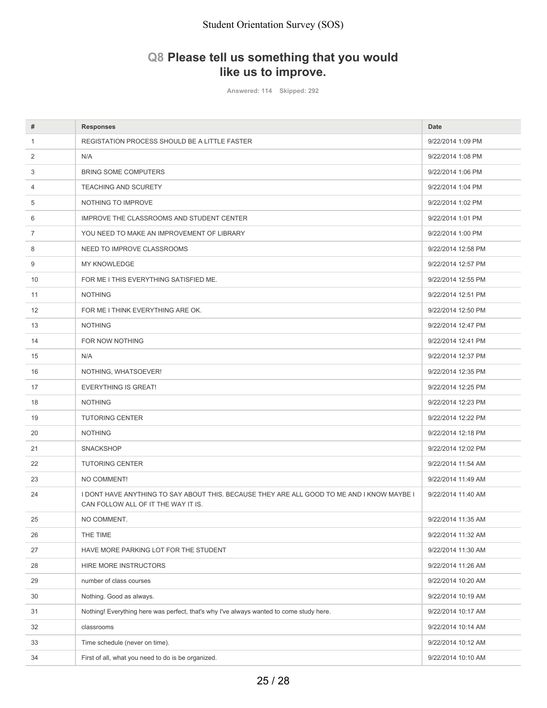# **Q8 Please tell us something that you would like us to improve.**

**Answered: 114 Skipped: 292**

| #              | <b>Responses</b>                                                                                                                  | Date               |
|----------------|-----------------------------------------------------------------------------------------------------------------------------------|--------------------|
| $\mathbf{1}$   | REGISTATION PROCESS SHOULD BE A LITTLE FASTER                                                                                     | 9/22/2014 1:09 PM  |
| 2              | N/A                                                                                                                               | 9/22/2014 1:08 PM  |
| 3              | <b>BRING SOME COMPUTERS</b>                                                                                                       | 9/22/2014 1:06 PM  |
| 4              | <b>TEACHING AND SCURETY</b>                                                                                                       | 9/22/2014 1:04 PM  |
| 5              | NOTHING TO IMPROVE                                                                                                                | 9/22/2014 1:02 PM  |
| 6              | IMPROVE THE CLASSROOMS AND STUDENT CENTER                                                                                         | 9/22/2014 1:01 PM  |
| $\overline{7}$ | YOU NEED TO MAKE AN IMPROVEMENT OF LIBRARY                                                                                        | 9/22/2014 1:00 PM  |
| 8              | NEED TO IMPROVE CLASSROOMS                                                                                                        | 9/22/2014 12:58 PM |
| 9              | <b>MY KNOWLEDGE</b>                                                                                                               | 9/22/2014 12:57 PM |
| 10             | FOR ME I THIS EVERYTHING SATISFIED ME.                                                                                            | 9/22/2014 12:55 PM |
| 11             | <b>NOTHING</b>                                                                                                                    | 9/22/2014 12:51 PM |
| 12             | FOR ME I THINK EVERYTHING ARE OK.                                                                                                 | 9/22/2014 12:50 PM |
| 13             | <b>NOTHING</b>                                                                                                                    | 9/22/2014 12:47 PM |
| 14             | FOR NOW NOTHING                                                                                                                   | 9/22/2014 12:41 PM |
| 15             | N/A                                                                                                                               | 9/22/2014 12:37 PM |
| 16             | NOTHING, WHATSOEVER!                                                                                                              | 9/22/2014 12:35 PM |
| 17             | <b>EVERYTHING IS GREAT!</b>                                                                                                       | 9/22/2014 12:25 PM |
| 18             | <b>NOTHING</b>                                                                                                                    | 9/22/2014 12:23 PM |
| 19             | <b>TUTORING CENTER</b>                                                                                                            | 9/22/2014 12:22 PM |
| 20             | <b>NOTHING</b>                                                                                                                    | 9/22/2014 12:18 PM |
| 21             | <b>SNACKSHOP</b>                                                                                                                  | 9/22/2014 12:02 PM |
| 22             | <b>TUTORING CENTER</b>                                                                                                            | 9/22/2014 11:54 AM |
| 23             | NO COMMENT!                                                                                                                       | 9/22/2014 11:49 AM |
| 24             | I DONT HAVE ANYTHING TO SAY ABOUT THIS. BECAUSE THEY ARE ALL GOOD TO ME AND I KNOW MAYBE I<br>CAN FOLLOW ALL OF IT THE WAY IT IS. | 9/22/2014 11:40 AM |
| 25             | NO COMMENT.                                                                                                                       | 9/22/2014 11:35 AM |
| 26             | THE TIME                                                                                                                          | 9/22/2014 11:32 AM |
| 27             | HAVE MORE PARKING LOT FOR THE STUDENT                                                                                             | 9/22/2014 11:30 AM |
| 28             | HIRE MORE INSTRUCTORS                                                                                                             | 9/22/2014 11:26 AM |
| 29             | number of class courses                                                                                                           | 9/22/2014 10:20 AM |
| 30             | Nothing. Good as always.                                                                                                          | 9/22/2014 10:19 AM |
| 31             | Nothing! Everything here was perfect, that's why I've always wanted to come study here.                                           | 9/22/2014 10:17 AM |
| 32             | classrooms                                                                                                                        | 9/22/2014 10:14 AM |
| 33             | Time schedule (never on time).                                                                                                    | 9/22/2014 10:12 AM |
| 34             | First of all, what you need to do is be organized.                                                                                | 9/22/2014 10:10 AM |
|                |                                                                                                                                   |                    |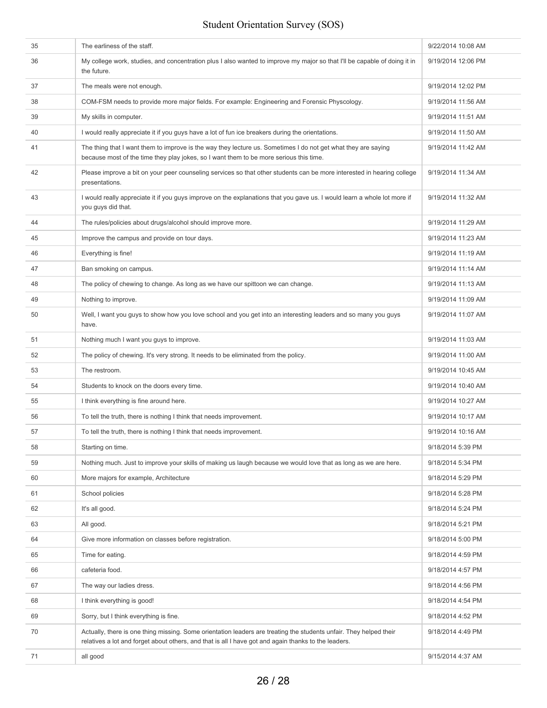| 35 | The earliness of the staff.                                                                                                                                                                                                | 9/22/2014 10:08 AM |
|----|----------------------------------------------------------------------------------------------------------------------------------------------------------------------------------------------------------------------------|--------------------|
| 36 | My college work, studies, and concentration plus I also wanted to improve my major so that I'll be capable of doing it in<br>the future.                                                                                   | 9/19/2014 12:06 PM |
| 37 | The meals were not enough.                                                                                                                                                                                                 | 9/19/2014 12:02 PM |
| 38 | COM-FSM needs to provide more major fields. For example: Engineering and Forensic Physcology.                                                                                                                              | 9/19/2014 11:56 AM |
| 39 | My skills in computer.                                                                                                                                                                                                     | 9/19/2014 11:51 AM |
| 40 | I would really appreciate it if you guys have a lot of fun ice breakers during the orientations.                                                                                                                           | 9/19/2014 11:50 AM |
| 41 | The thing that I want them to improve is the way they lecture us. Sometimes I do not get what they are saying<br>because most of the time they play jokes, so I want them to be more serious this time.                    | 9/19/2014 11:42 AM |
| 42 | Please improve a bit on your peer counseling services so that other students can be more interested in hearing college<br>presentations.                                                                                   | 9/19/2014 11:34 AM |
| 43 | I would really appreciate it if you guys improve on the explanations that you gave us. I would learn a whole lot more if<br>you guys did that.                                                                             | 9/19/2014 11:32 AM |
| 44 | The rules/policies about drugs/alcohol should improve more.                                                                                                                                                                | 9/19/2014 11:29 AM |
| 45 | Improve the campus and provide on tour days.                                                                                                                                                                               | 9/19/2014 11:23 AM |
| 46 | Everything is fine!                                                                                                                                                                                                        | 9/19/2014 11:19 AM |
| 47 | Ban smoking on campus.                                                                                                                                                                                                     | 9/19/2014 11:14 AM |
| 48 | The policy of chewing to change. As long as we have our spittoon we can change.                                                                                                                                            | 9/19/2014 11:13 AM |
| 49 | Nothing to improve.                                                                                                                                                                                                        | 9/19/2014 11:09 AM |
| 50 | Well, I want you guys to show how you love school and you get into an interesting leaders and so many you guys<br>have.                                                                                                    | 9/19/2014 11:07 AM |
| 51 | Nothing much I want you guys to improve.                                                                                                                                                                                   | 9/19/2014 11:03 AM |
| 52 | The policy of chewing. It's very strong. It needs to be eliminated from the policy.                                                                                                                                        | 9/19/2014 11:00 AM |
| 53 | The restroom.                                                                                                                                                                                                              | 9/19/2014 10:45 AM |
| 54 | Students to knock on the doors every time.                                                                                                                                                                                 | 9/19/2014 10:40 AM |
| 55 | I think everything is fine around here.                                                                                                                                                                                    | 9/19/2014 10:27 AM |
| 56 | To tell the truth, there is nothing I think that needs improvement.                                                                                                                                                        | 9/19/2014 10:17 AM |
| 57 | To tell the truth, there is nothing I think that needs improvement.                                                                                                                                                        | 9/19/2014 10:16 AM |
| 58 | Starting on time.                                                                                                                                                                                                          | 9/18/2014 5:39 PM  |
| 59 | Nothing much. Just to improve your skills of making us laugh because we would love that as long as we are here.                                                                                                            | 9/18/2014 5:34 PM  |
| 60 | More majors for example, Architecture                                                                                                                                                                                      | 9/18/2014 5:29 PM  |
| 61 | School policies                                                                                                                                                                                                            | 9/18/2014 5:28 PM  |
| 62 | It's all good.                                                                                                                                                                                                             | 9/18/2014 5:24 PM  |
| 63 | All good.                                                                                                                                                                                                                  | 9/18/2014 5:21 PM  |
| 64 | Give more information on classes before registration.                                                                                                                                                                      | 9/18/2014 5:00 PM  |
| 65 | Time for eating.                                                                                                                                                                                                           | 9/18/2014 4:59 PM  |
| 66 | cafeteria food.                                                                                                                                                                                                            | 9/18/2014 4:57 PM  |
| 67 | The way our ladies dress.                                                                                                                                                                                                  | 9/18/2014 4:56 PM  |
| 68 | I think everything is good!                                                                                                                                                                                                | 9/18/2014 4:54 PM  |
| 69 | Sorry, but I think everything is fine.                                                                                                                                                                                     | 9/18/2014 4:52 PM  |
| 70 | Actually, there is one thing missing. Some orientation leaders are treating the students unfair. They helped their<br>relatives a lot and forget about others, and that is all I have got and again thanks to the leaders. | 9/18/2014 4:49 PM  |
| 71 | all good                                                                                                                                                                                                                   | 9/15/2014 4:37 AM  |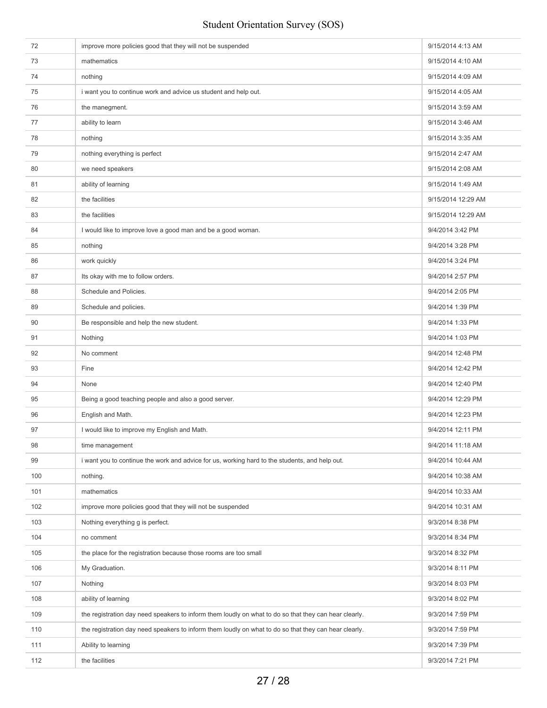| 72  | improve more policies good that they will not be suspended                                            | 9/15/2014 4:13 AM  |
|-----|-------------------------------------------------------------------------------------------------------|--------------------|
| 73  | mathematics                                                                                           | 9/15/2014 4:10 AM  |
| 74  | nothing                                                                                               | 9/15/2014 4:09 AM  |
| 75  | i want you to continue work and advice us student and help out.                                       | 9/15/2014 4:05 AM  |
| 76  | the manegment.                                                                                        | 9/15/2014 3:59 AM  |
| 77  | ability to learn                                                                                      | 9/15/2014 3:46 AM  |
| 78  | nothing                                                                                               | 9/15/2014 3:35 AM  |
| 79  | nothing everything is perfect                                                                         | 9/15/2014 2:47 AM  |
| 80  | we need speakers                                                                                      | 9/15/2014 2:08 AM  |
| 81  | ability of learning                                                                                   | 9/15/2014 1:49 AM  |
| 82  | the facilities                                                                                        | 9/15/2014 12:29 AM |
| 83  | the facilities                                                                                        | 9/15/2014 12:29 AM |
| 84  | I would like to improve love a good man and be a good woman.                                          | 9/4/2014 3:42 PM   |
| 85  | nothing                                                                                               | 9/4/2014 3:28 PM   |
| 86  | work quickly                                                                                          | 9/4/2014 3:24 PM   |
| 87  | Its okay with me to follow orders.                                                                    | 9/4/2014 2:57 PM   |
| 88  | Schedule and Policies.                                                                                | 9/4/2014 2:05 PM   |
| 89  | Schedule and policies.                                                                                | 9/4/2014 1:39 PM   |
| 90  | Be responsible and help the new student.                                                              | 9/4/2014 1:33 PM   |
| 91  | Nothing                                                                                               | 9/4/2014 1:03 PM   |
| 92  | No comment                                                                                            | 9/4/2014 12:48 PM  |
| 93  | Fine                                                                                                  | 9/4/2014 12:42 PM  |
| 94  | None                                                                                                  | 9/4/2014 12:40 PM  |
| 95  | Being a good teaching people and also a good server.                                                  | 9/4/2014 12:29 PM  |
| 96  | English and Math.                                                                                     | 9/4/2014 12:23 PM  |
| 97  | I would like to improve my English and Math.                                                          | 9/4/2014 12:11 PM  |
| 98  | time management                                                                                       | 9/4/2014 11:18 AM  |
| 99  | i want you to continue the work and advice for us, working hard to the students, and help out.        | 9/4/2014 10:44 AM  |
| 100 | nothing.                                                                                              | 9/4/2014 10:38 AM  |
| 101 | mathematics                                                                                           | 9/4/2014 10:33 AM  |
| 102 | improve more policies good that they will not be suspended                                            | 9/4/2014 10:31 AM  |
| 103 | Nothing everything g is perfect.                                                                      | 9/3/2014 8:38 PM   |
| 104 | no comment                                                                                            | 9/3/2014 8:34 PM   |
| 105 | the place for the registration because those rooms are too small                                      | 9/3/2014 8:32 PM   |
| 106 | My Graduation.                                                                                        | 9/3/2014 8:11 PM   |
| 107 | Nothing                                                                                               | 9/3/2014 8:03 PM   |
| 108 | ability of learning                                                                                   | 9/3/2014 8:02 PM   |
| 109 | the registration day need speakers to inform them loudly on what to do so that they can hear clearly. | 9/3/2014 7:59 PM   |
| 110 | the registration day need speakers to inform them loudly on what to do so that they can hear clearly. | 9/3/2014 7:59 PM   |
| 111 | Ability to learning                                                                                   | 9/3/2014 7:39 PM   |
| 112 | the facilities                                                                                        | 9/3/2014 7:21 PM   |